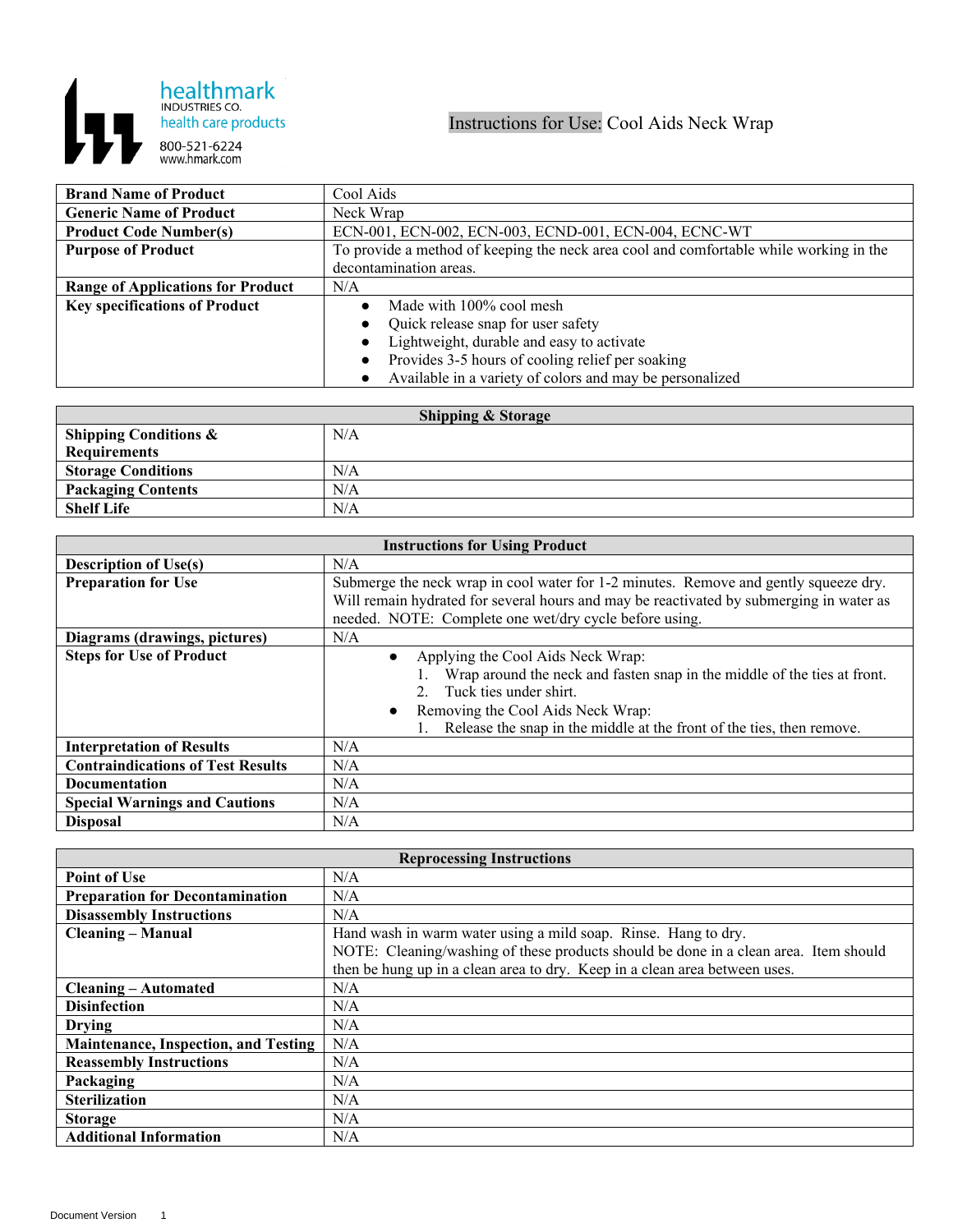

| <b>Brand Name of Product</b>             | Cool Aids                                                                              |
|------------------------------------------|----------------------------------------------------------------------------------------|
| <b>Generic Name of Product</b>           | Neck Wrap                                                                              |
| <b>Product Code Number(s)</b>            | ECN-001, ECN-002, ECN-003, ECND-001, ECN-004, ECNC-WT                                  |
| <b>Purpose of Product</b>                | To provide a method of keeping the neck area cool and comfortable while working in the |
|                                          | decontamination areas.                                                                 |
| <b>Range of Applications for Product</b> | N/A                                                                                    |
| <b>Key specifications of Product</b>     | Made with 100% cool mesh                                                               |
|                                          | Quick release snap for user safety                                                     |
|                                          | Lightweight, durable and easy to activate                                              |
|                                          | Provides 3-5 hours of cooling relief per soaking                                       |
|                                          | Available in a variety of colors and may be personalized                               |

| <b>Shipping &amp; Storage</b>    |     |  |
|----------------------------------|-----|--|
| <b>Shipping Conditions &amp;</b> | N/A |  |
| <b>Requirements</b>              |     |  |
| <b>Storage Conditions</b>        | N/A |  |
| <b>Packaging Contents</b>        | N/A |  |
| <b>Shelf Life</b>                | N/A |  |

| <b>Instructions for Using Product</b>    |                                                                                         |
|------------------------------------------|-----------------------------------------------------------------------------------------|
| <b>Description of Use(s)</b>             | N/A                                                                                     |
| <b>Preparation for Use</b>               | Submerge the neck wrap in cool water for 1-2 minutes. Remove and gently squeeze dry.    |
|                                          | Will remain hydrated for several hours and may be reactivated by submerging in water as |
|                                          | needed. NOTE: Complete one wet/dry cycle before using.                                  |
| Diagrams (drawings, pictures)            | N/A                                                                                     |
| <b>Steps for Use of Product</b>          | Applying the Cool Aids Neck Wrap:<br>$\bullet$                                          |
|                                          | Wrap around the neck and fasten snap in the middle of the ties at front.                |
|                                          | Tuck ties under shirt.<br>$2^{\circ}$                                                   |
|                                          | Removing the Cool Aids Neck Wrap:<br>$\bullet$                                          |
|                                          | Release the snap in the middle at the front of the ties, then remove.                   |
| <b>Interpretation of Results</b>         | N/A                                                                                     |
| <b>Contraindications of Test Results</b> | N/A                                                                                     |
| <b>Documentation</b>                     | N/A                                                                                     |
| <b>Special Warnings and Cautions</b>     | N/A                                                                                     |
| <b>Disposal</b>                          | N/A                                                                                     |

| <b>Reprocessing Instructions</b>            |                                                                                      |  |
|---------------------------------------------|--------------------------------------------------------------------------------------|--|
| <b>Point of Use</b>                         | N/A                                                                                  |  |
| <b>Preparation for Decontamination</b>      | N/A                                                                                  |  |
| <b>Disassembly Instructions</b>             | N/A                                                                                  |  |
| <b>Cleaning – Manual</b>                    | Hand wash in warm water using a mild soap. Rinse. Hang to dry.                       |  |
|                                             | NOTE: Cleaning/washing of these products should be done in a clean area. Item should |  |
|                                             | then be hung up in a clean area to dry. Keep in a clean area between uses.           |  |
| <b>Cleaning – Automated</b>                 | N/A                                                                                  |  |
| <b>Disinfection</b>                         | N/A                                                                                  |  |
| Drying                                      | N/A                                                                                  |  |
| <b>Maintenance, Inspection, and Testing</b> | N/A                                                                                  |  |
| <b>Reassembly Instructions</b>              | N/A                                                                                  |  |
| Packaging                                   | N/A                                                                                  |  |
| <b>Sterilization</b>                        | N/A                                                                                  |  |
| <b>Storage</b>                              | N/A                                                                                  |  |
| <b>Additional Information</b>               | N/A                                                                                  |  |